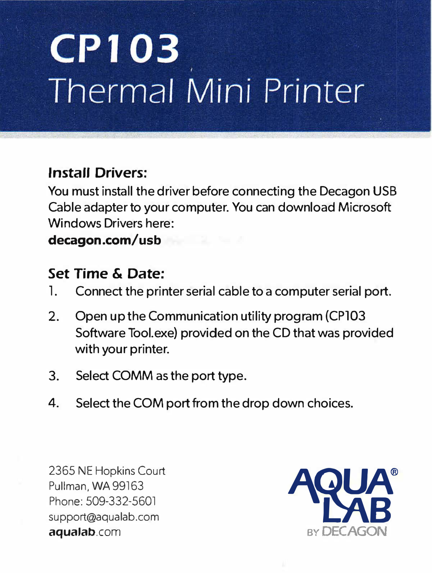# **CP103 Thermal Mini Printer**

### **Install Drivers:**

You must install the driver before connecting the Decagon USB Cable adapter to your computer. You can download Microsoft Windows Drivers here:

#### **decagon.com/usb**

## **Set Time & Date:**<br>1. Connect the prin

- Connect the printer serial cable to a computer serial port.
- 2. Open up the Communication utility program (CP103 Software Tool.exe) provided on the CD that was provided with your printer.
- 3. Select COMM as the port type.
- 4. Select the COM port from the drop down choices.

2365 NE Hopkins Court Pullman, WA 99163 Phone: 509-332-5601 support@aqualab.com aqualab.com